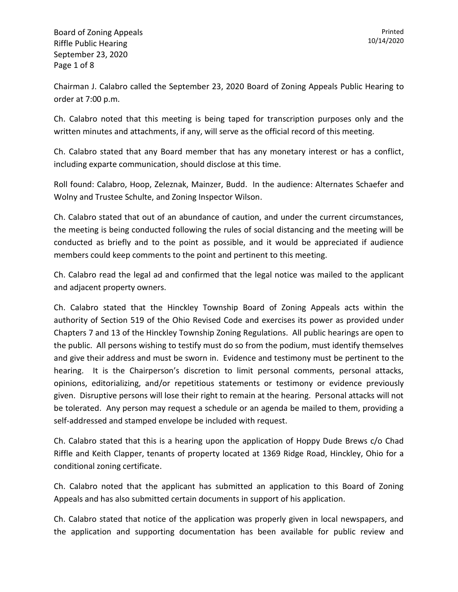Chairman J. Calabro called the September 23, 2020 Board of Zoning Appeals Public Hearing to order at 7:00 p.m.

Ch. Calabro noted that this meeting is being taped for transcription purposes only and the written minutes and attachments, if any, will serve as the official record of this meeting.

Ch. Calabro stated that any Board member that has any monetary interest or has a conflict, including exparte communication, should disclose at this time.

Roll found: Calabro, Hoop, Zeleznak, Mainzer, Budd. In the audience: Alternates Schaefer and Wolny and Trustee Schulte, and Zoning Inspector Wilson.

Ch. Calabro stated that out of an abundance of caution, and under the current circumstances, the meeting is being conducted following the rules of social distancing and the meeting will be conducted as briefly and to the point as possible, and it would be appreciated if audience members could keep comments to the point and pertinent to this meeting.

Ch. Calabro read the legal ad and confirmed that the legal notice was mailed to the applicant and adjacent property owners.

Ch. Calabro stated that the Hinckley Township Board of Zoning Appeals acts within the authority of Section 519 of the Ohio Revised Code and exercises its power as provided under Chapters 7 and 13 of the Hinckley Township Zoning Regulations. All public hearings are open to the public. All persons wishing to testify must do so from the podium, must identify themselves and give their address and must be sworn in. Evidence and testimony must be pertinent to the hearing. It is the Chairperson's discretion to limit personal comments, personal attacks, opinions, editorializing, and/or repetitious statements or testimony or evidence previously given. Disruptive persons will lose their right to remain at the hearing. Personal attacks will not be tolerated. Any person may request a schedule or an agenda be mailed to them, providing a self-addressed and stamped envelope be included with request.

Ch. Calabro stated that this is a hearing upon the application of Hoppy Dude Brews c/o Chad Riffle and Keith Clapper, tenants of property located at 1369 Ridge Road, Hinckley, Ohio for a conditional zoning certificate.

Ch. Calabro noted that the applicant has submitted an application to this Board of Zoning Appeals and has also submitted certain documents in support of his application.

Ch. Calabro stated that notice of the application was properly given in local newspapers, and the application and supporting documentation has been available for public review and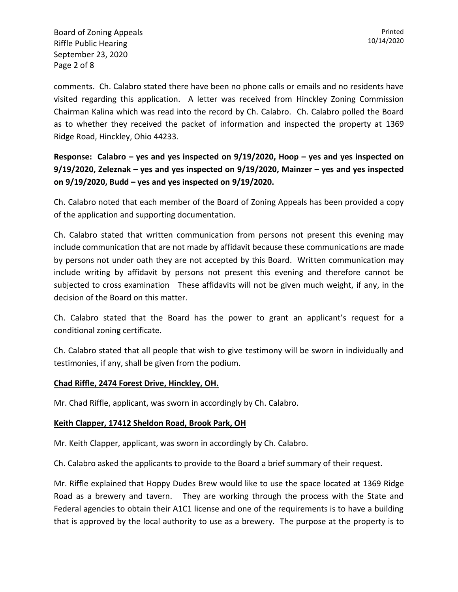Board of Zoning Appeals Riffle Public Hearing September 23, 2020 Page 2 of 8

comments. Ch. Calabro stated there have been no phone calls or emails and no residents have visited regarding this application. A letter was received from Hinckley Zoning Commission Chairman Kalina which was read into the record by Ch. Calabro. Ch. Calabro polled the Board as to whether they received the packet of information and inspected the property at 1369 Ridge Road, Hinckley, Ohio 44233.

**Response: Calabro – yes and yes inspected on 9/19/2020, Hoop – yes and yes inspected on 9/19/2020, Zeleznak – yes and yes inspected on 9/19/2020, Mainzer – yes and yes inspected on 9/19/2020, Budd – yes and yes inspected on 9/19/2020.**

Ch. Calabro noted that each member of the Board of Zoning Appeals has been provided a copy of the application and supporting documentation.

Ch. Calabro stated that written communication from persons not present this evening may include communication that are not made by affidavit because these communications are made by persons not under oath they are not accepted by this Board. Written communication may include writing by affidavit by persons not present this evening and therefore cannot be subjected to cross examination These affidavits will not be given much weight, if any, in the decision of the Board on this matter.

Ch. Calabro stated that the Board has the power to grant an applicant's request for a conditional zoning certificate.

Ch. Calabro stated that all people that wish to give testimony will be sworn in individually and testimonies, if any, shall be given from the podium.

## **Chad Riffle, 2474 Forest Drive, Hinckley, OH.**

Mr. Chad Riffle, applicant, was sworn in accordingly by Ch. Calabro.

## **Keith Clapper, 17412 Sheldon Road, Brook Park, OH**

Mr. Keith Clapper, applicant, was sworn in accordingly by Ch. Calabro.

Ch. Calabro asked the applicants to provide to the Board a brief summary of their request.

Mr. Riffle explained that Hoppy Dudes Brew would like to use the space located at 1369 Ridge Road as a brewery and tavern. They are working through the process with the State and Federal agencies to obtain their A1C1 license and one of the requirements is to have a building that is approved by the local authority to use as a brewery. The purpose at the property is to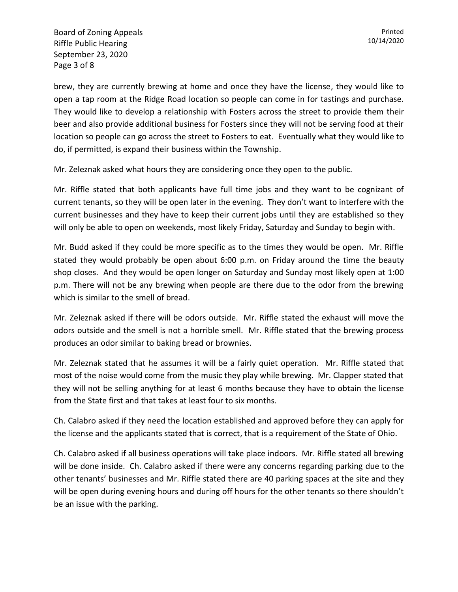Board of Zoning Appeals Riffle Public Hearing September 23, 2020 Page 3 of 8

brew, they are currently brewing at home and once they have the license, they would like to open a tap room at the Ridge Road location so people can come in for tastings and purchase. They would like to develop a relationship with Fosters across the street to provide them their beer and also provide additional business for Fosters since they will not be serving food at their location so people can go across the street to Fosters to eat. Eventually what they would like to do, if permitted, is expand their business within the Township.

Mr. Zeleznak asked what hours they are considering once they open to the public.

Mr. Riffle stated that both applicants have full time jobs and they want to be cognizant of current tenants, so they will be open later in the evening. They don't want to interfere with the current businesses and they have to keep their current jobs until they are established so they will only be able to open on weekends, most likely Friday, Saturday and Sunday to begin with.

Mr. Budd asked if they could be more specific as to the times they would be open. Mr. Riffle stated they would probably be open about 6:00 p.m. on Friday around the time the beauty shop closes. And they would be open longer on Saturday and Sunday most likely open at 1:00 p.m. There will not be any brewing when people are there due to the odor from the brewing which is similar to the smell of bread.

Mr. Zeleznak asked if there will be odors outside. Mr. Riffle stated the exhaust will move the odors outside and the smell is not a horrible smell. Mr. Riffle stated that the brewing process produces an odor similar to baking bread or brownies.

Mr. Zeleznak stated that he assumes it will be a fairly quiet operation. Mr. Riffle stated that most of the noise would come from the music they play while brewing. Mr. Clapper stated that they will not be selling anything for at least 6 months because they have to obtain the license from the State first and that takes at least four to six months.

Ch. Calabro asked if they need the location established and approved before they can apply for the license and the applicants stated that is correct, that is a requirement of the State of Ohio.

Ch. Calabro asked if all business operations will take place indoors. Mr. Riffle stated all brewing will be done inside. Ch. Calabro asked if there were any concerns regarding parking due to the other tenants' businesses and Mr. Riffle stated there are 40 parking spaces at the site and they will be open during evening hours and during off hours for the other tenants so there shouldn't be an issue with the parking.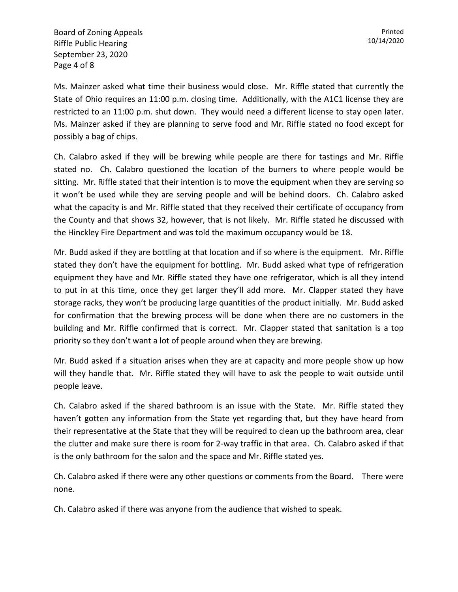Board of Zoning Appeals Riffle Public Hearing September 23, 2020 Page 4 of 8

Ms. Mainzer asked what time their business would close. Mr. Riffle stated that currently the State of Ohio requires an 11:00 p.m. closing time. Additionally, with the A1C1 license they are restricted to an 11:00 p.m. shut down. They would need a different license to stay open later. Ms. Mainzer asked if they are planning to serve food and Mr. Riffle stated no food except for possibly a bag of chips.

Ch. Calabro asked if they will be brewing while people are there for tastings and Mr. Riffle stated no. Ch. Calabro questioned the location of the burners to where people would be sitting. Mr. Riffle stated that their intention is to move the equipment when they are serving so it won't be used while they are serving people and will be behind doors. Ch. Calabro asked what the capacity is and Mr. Riffle stated that they received their certificate of occupancy from the County and that shows 32, however, that is not likely. Mr. Riffle stated he discussed with the Hinckley Fire Department and was told the maximum occupancy would be 18.

Mr. Budd asked if they are bottling at that location and if so where is the equipment. Mr. Riffle stated they don't have the equipment for bottling. Mr. Budd asked what type of refrigeration equipment they have and Mr. Riffle stated they have one refrigerator, which is all they intend to put in at this time, once they get larger they'll add more. Mr. Clapper stated they have storage racks, they won't be producing large quantities of the product initially. Mr. Budd asked for confirmation that the brewing process will be done when there are no customers in the building and Mr. Riffle confirmed that is correct. Mr. Clapper stated that sanitation is a top priority so they don't want a lot of people around when they are brewing.

Mr. Budd asked if a situation arises when they are at capacity and more people show up how will they handle that. Mr. Riffle stated they will have to ask the people to wait outside until people leave.

Ch. Calabro asked if the shared bathroom is an issue with the State. Mr. Riffle stated they haven't gotten any information from the State yet regarding that, but they have heard from their representative at the State that they will be required to clean up the bathroom area, clear the clutter and make sure there is room for 2-way traffic in that area. Ch. Calabro asked if that is the only bathroom for the salon and the space and Mr. Riffle stated yes.

Ch. Calabro asked if there were any other questions or comments from the Board. There were none.

Ch. Calabro asked if there was anyone from the audience that wished to speak.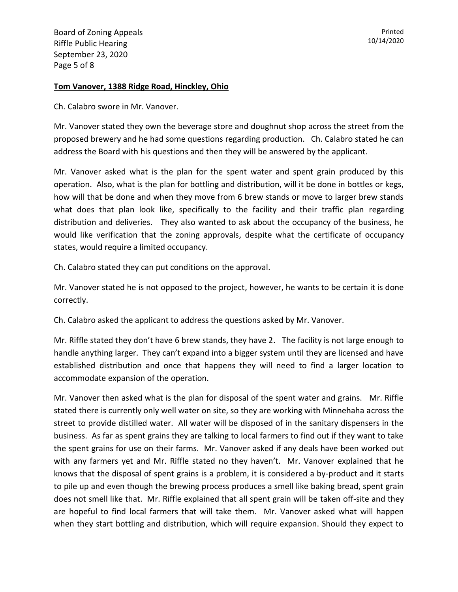## **Tom Vanover, 1388 Ridge Road, Hinckley, Ohio**

Ch. Calabro swore in Mr. Vanover.

Mr. Vanover stated they own the beverage store and doughnut shop across the street from the proposed brewery and he had some questions regarding production. Ch. Calabro stated he can address the Board with his questions and then they will be answered by the applicant.

Mr. Vanover asked what is the plan for the spent water and spent grain produced by this operation. Also, what is the plan for bottling and distribution, will it be done in bottles or kegs, how will that be done and when they move from 6 brew stands or move to larger brew stands what does that plan look like, specifically to the facility and their traffic plan regarding distribution and deliveries. They also wanted to ask about the occupancy of the business, he would like verification that the zoning approvals, despite what the certificate of occupancy states, would require a limited occupancy.

Ch. Calabro stated they can put conditions on the approval.

Mr. Vanover stated he is not opposed to the project, however, he wants to be certain it is done correctly.

Ch. Calabro asked the applicant to address the questions asked by Mr. Vanover.

Mr. Riffle stated they don't have 6 brew stands, they have 2. The facility is not large enough to handle anything larger. They can't expand into a bigger system until they are licensed and have established distribution and once that happens they will need to find a larger location to accommodate expansion of the operation.

Mr. Vanover then asked what is the plan for disposal of the spent water and grains. Mr. Riffle stated there is currently only well water on site, so they are working with Minnehaha across the street to provide distilled water. All water will be disposed of in the sanitary dispensers in the business. As far as spent grains they are talking to local farmers to find out if they want to take the spent grains for use on their farms. Mr. Vanover asked if any deals have been worked out with any farmers yet and Mr. Riffle stated no they haven't. Mr. Vanover explained that he knows that the disposal of spent grains is a problem, it is considered a by-product and it starts to pile up and even though the brewing process produces a smell like baking bread, spent grain does not smell like that. Mr. Riffle explained that all spent grain will be taken off-site and they are hopeful to find local farmers that will take them. Mr. Vanover asked what will happen when they start bottling and distribution, which will require expansion. Should they expect to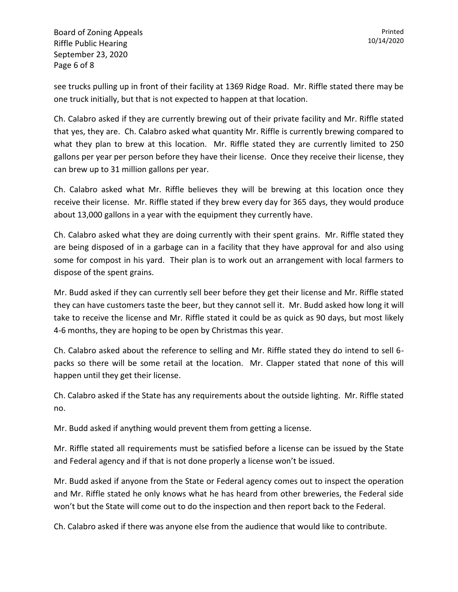Board of Zoning Appeals Riffle Public Hearing September 23, 2020 Page 6 of 8

see trucks pulling up in front of their facility at 1369 Ridge Road. Mr. Riffle stated there may be one truck initially, but that is not expected to happen at that location.

Ch. Calabro asked if they are currently brewing out of their private facility and Mr. Riffle stated that yes, they are. Ch. Calabro asked what quantity Mr. Riffle is currently brewing compared to what they plan to brew at this location. Mr. Riffle stated they are currently limited to 250 gallons per year per person before they have their license. Once they receive their license, they can brew up to 31 million gallons per year.

Ch. Calabro asked what Mr. Riffle believes they will be brewing at this location once they receive their license. Mr. Riffle stated if they brew every day for 365 days, they would produce about 13,000 gallons in a year with the equipment they currently have.

Ch. Calabro asked what they are doing currently with their spent grains. Mr. Riffle stated they are being disposed of in a garbage can in a facility that they have approval for and also using some for compost in his yard. Their plan is to work out an arrangement with local farmers to dispose of the spent grains.

Mr. Budd asked if they can currently sell beer before they get their license and Mr. Riffle stated they can have customers taste the beer, but they cannot sell it. Mr. Budd asked how long it will take to receive the license and Mr. Riffle stated it could be as quick as 90 days, but most likely 4-6 months, they are hoping to be open by Christmas this year.

Ch. Calabro asked about the reference to selling and Mr. Riffle stated they do intend to sell 6 packs so there will be some retail at the location. Mr. Clapper stated that none of this will happen until they get their license.

Ch. Calabro asked if the State has any requirements about the outside lighting. Mr. Riffle stated no.

Mr. Budd asked if anything would prevent them from getting a license.

Mr. Riffle stated all requirements must be satisfied before a license can be issued by the State and Federal agency and if that is not done properly a license won't be issued.

Mr. Budd asked if anyone from the State or Federal agency comes out to inspect the operation and Mr. Riffle stated he only knows what he has heard from other breweries, the Federal side won't but the State will come out to do the inspection and then report back to the Federal.

Ch. Calabro asked if there was anyone else from the audience that would like to contribute.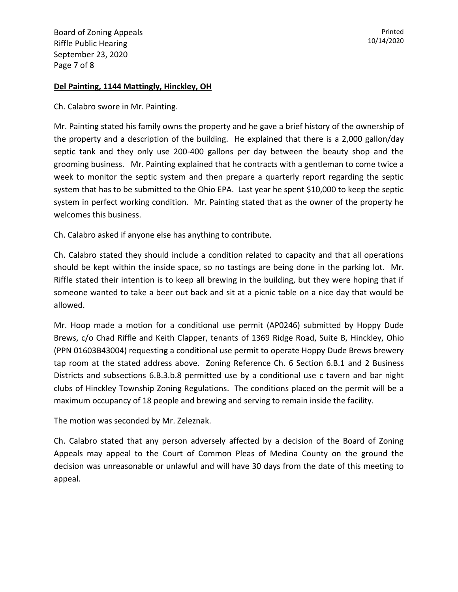## **Del Painting, 1144 Mattingly, Hinckley, OH**

Ch. Calabro swore in Mr. Painting.

Mr. Painting stated his family owns the property and he gave a brief history of the ownership of the property and a description of the building. He explained that there is a 2,000 gallon/day septic tank and they only use 200-400 gallons per day between the beauty shop and the grooming business. Mr. Painting explained that he contracts with a gentleman to come twice a week to monitor the septic system and then prepare a quarterly report regarding the septic system that has to be submitted to the Ohio EPA. Last year he spent \$10,000 to keep the septic system in perfect working condition. Mr. Painting stated that as the owner of the property he welcomes this business.

Ch. Calabro asked if anyone else has anything to contribute.

Ch. Calabro stated they should include a condition related to capacity and that all operations should be kept within the inside space, so no tastings are being done in the parking lot. Mr. Riffle stated their intention is to keep all brewing in the building, but they were hoping that if someone wanted to take a beer out back and sit at a picnic table on a nice day that would be allowed.

Mr. Hoop made a motion for a conditional use permit (AP0246) submitted by Hoppy Dude Brews, c/o Chad Riffle and Keith Clapper, tenants of 1369 Ridge Road, Suite B, Hinckley, Ohio (PPN 01603B43004) requesting a conditional use permit to operate Hoppy Dude Brews brewery tap room at the stated address above. Zoning Reference Ch. 6 Section 6.B.1 and 2 Business Districts and subsections 6.B.3.b.8 permitted use by a conditional use c tavern and bar night clubs of Hinckley Township Zoning Regulations. The conditions placed on the permit will be a maximum occupancy of 18 people and brewing and serving to remain inside the facility.

The motion was seconded by Mr. Zeleznak.

Ch. Calabro stated that any person adversely affected by a decision of the Board of Zoning Appeals may appeal to the Court of Common Pleas of Medina County on the ground the decision was unreasonable or unlawful and will have 30 days from the date of this meeting to appeal.